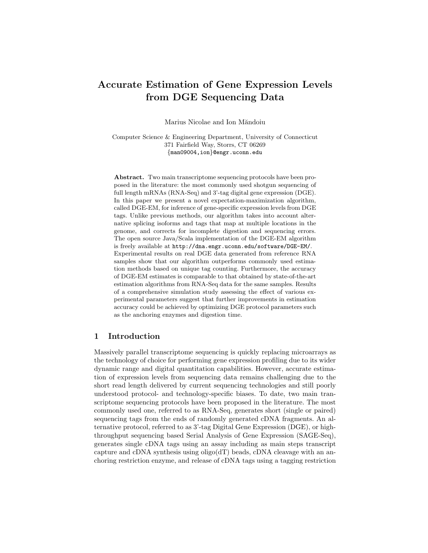# Accurate Estimation of Gene Expression Levels from DGE Sequencing Data

Marius Nicolae and Ion Măndoiu

Computer Science & Engineering Department, University of Connecticut 371 Fairfield Way, Storrs, CT 06269 {man09004,ion}@engr.uconn.edu

Abstract. Two main transcriptome sequencing protocols have been proposed in the literature: the most commonly used shotgun sequencing of full length mRNAs (RNA-Seq) and 3'-tag digital gene expression (DGE). In this paper we present a novel expectation-maximization algorithm, called DGE-EM, for inference of gene-specific expression levels from DGE tags. Unlike previous methods, our algorithm takes into account alternative splicing isoforms and tags that map at multiple locations in the genome, and corrects for incomplete digestion and sequencing errors. The open source Java/Scala implementation of the DGE-EM algorithm is freely available at http://dna.engr.uconn.edu/software/DGE-EM/. Experimental results on real DGE data generated from reference RNA samples show that our algorithm outperforms commonly used estimation methods based on unique tag counting. Furthermore, the accuracy of DGE-EM estimates is comparable to that obtained by state-of-the-art estimation algorithms from RNA-Seq data for the same samples. Results of a comprehensive simulation study assessing the effect of various experimental parameters suggest that further improvements in estimation accuracy could be achieved by optimizing DGE protocol parameters such as the anchoring enzymes and digestion time.

# 1 Introduction

Massively parallel transcriptome sequencing is quickly replacing microarrays as the technology of choice for performing gene expression profiling due to its wider dynamic range and digital quantitation capabilities. However, accurate estimation of expression levels from sequencing data remains challenging due to the short read length delivered by current sequencing technologies and still poorly understood protocol- and technology-specific biases. To date, two main transcriptome sequencing protocols have been proposed in the literature. The most commonly used one, referred to as RNA-Seq, generates short (single or paired) sequencing tags from the ends of randomly generated cDNA fragments. An alternative protocol, referred to as 3'-tag Digital Gene Expression (DGE), or highthroughput sequencing based Serial Analysis of Gene Expression (SAGE-Seq), generates single cDNA tags using an assay including as main steps transcript capture and cDNA synthesis using oligo(dT) beads, cDNA cleavage with an anchoring restriction enzyme, and release of cDNA tags using a tagging restriction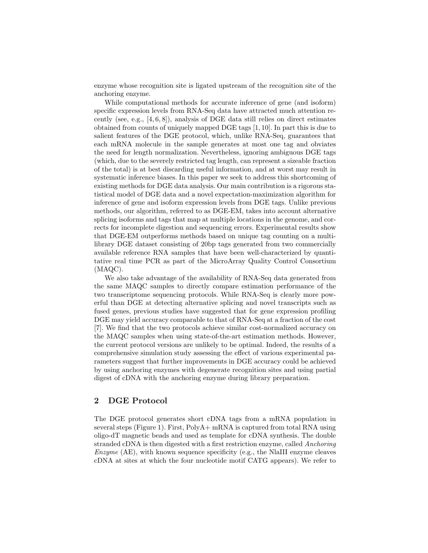enzyme whose recognition site is ligated upstream of the recognition site of the anchoring enzyme.

While computational methods for accurate inference of gene (and isoform) specific expression levels from RNA-Seq data have attracted much attention recently (see, e.g.,  $[4, 6, 8]$ ), analysis of DGE data still relies on direct estimates obtained from counts of uniquely mapped DGE tags [1, 10]. In part this is due to salient features of the DGE protocol, which, unlike RNA-Seq, guarantees that each mRNA molecule in the sample generates at most one tag and obviates the need for length normalization. Nevertheless, ignoring ambiguous DGE tags (which, due to the severely restricted tag length, can represent a sizeable fraction of the total) is at best discarding useful information, and at worst may result in systematic inference biases. In this paper we seek to address this shortcoming of existing methods for DGE data analysis. Our main contribution is a rigorous statistical model of DGE data and a novel expectation-maximization algorithm for inference of gene and isoform expression levels from DGE tags. Unlike previous methods, our algorithm, referred to as DGE-EM, takes into account alternative splicing isoforms and tags that map at multiple locations in the genome, and corrects for incomplete digestion and sequencing errors. Experimental results show that DGE-EM outperforms methods based on unique tag counting on a multilibrary DGE dataset consisting of 20bp tags generated from two commercially available reference RNA samples that have been well-characterized by quantitative real time PCR as part of the MicroArray Quality Control Consortium (MAQC).

We also take advantage of the availability of RNA-Seq data generated from the same MAQC samples to directly compare estimation performance of the two transcriptome sequencing protocols. While RNA-Seq is clearly more powerful than DGE at detecting alternative splicing and novel transcripts such as fused genes, previous studies have suggested that for gene expression profiling DGE may yield accuracy comparable to that of RNA-Seq at a fraction of the cost [7]. We find that the two protocols achieve similar cost-normalized accuracy on the MAQC samples when using state-of-the-art estimation methods. However, the current protocol versions are unlikely to be optimal. Indeed, the results of a comprehensive simulation study assessing the effect of various experimental parameters suggest that further improvements in DGE accuracy could be achieved by using anchoring enzymes with degenerate recognition sites and using partial digest of cDNA with the anchoring enzyme during library preparation.

# 2 DGE Protocol

The DGE protocol generates short cDNA tags from a mRNA population in several steps (Figure 1). First, PolyA+ mRNA is captured from total RNA using oligo-dT magnetic beads and used as template for cDNA synthesis. The double stranded cDNA is then digested with a first restriction enzyme, called Anchoring Enzyme (AE), with known sequence specificity (e.g., the NlaIII enzyme cleaves cDNA at sites at which the four nucleotide motif CATG appears). We refer to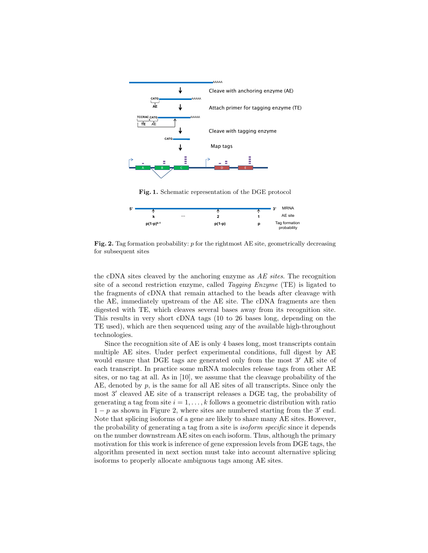

Fig. 1. Schematic representation of the DGE protocol



Fig. 2. Tag formation probability:  $p$  for the rightmost AE site, geometrically decreasing for subsequent sites

the cDNA sites cleaved by the anchoring enzyme as  $AE$  sites. The recognition site of a second restriction enzyme, called Tagging Enzyme (TE) is ligated to the fragments of cDNA that remain attached to the beads after cleavage with the AE, immediately upstream of the AE site. The cDNA fragments are then digested with TE, which cleaves several bases away from its recognition site. This results in very short cDNA tags (10 to 26 bases long, depending on the TE used), which are then sequenced using any of the available high-throughout technologies.

Since the recognition site of AE is only 4 bases long, most transcripts contain multiple AE sites. Under perfect experimental conditions, full digest by AE would ensure that DGE tags are generated only from the most 3′ AE site of each transcript. In practice some mRNA molecules release tags from other AE sites, or no tag at all. As in [10], we assume that the cleavage probability of the AE, denoted by p, is the same for all AE sites of all transcripts. Since only the most 3′ cleaved AE site of a transcript releases a DGE tag, the probability of generating a tag from site  $i = 1, \ldots, k$  follows a geometric distribution with ratio  $1 - p$  as shown in Figure 2, where sites are numbered starting from the 3' end. Note that splicing isoforms of a gene are likely to share many AE sites. However, the probability of generating a tag from a site is isoform specific since it depends on the number downstream AE sites on each isoform. Thus, although the primary motivation for this work is inference of gene expression levels from DGE tags, the algorithm presented in next section must take into account alternative splicing isoforms to properly allocate ambiguous tags among AE sites.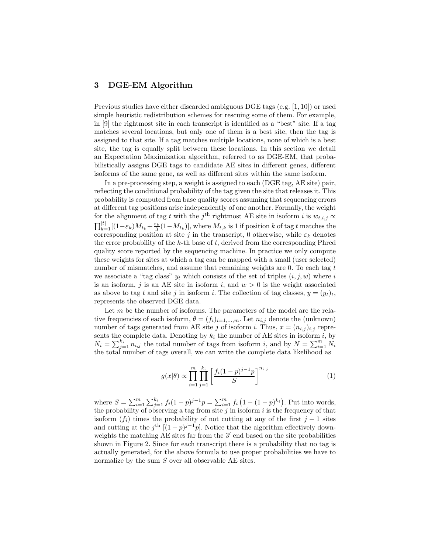## 3 DGE-EM Algorithm

Previous studies have either discarded ambiguous DGE tags (e.g. [1, 10]) or used simple heuristic redistribution schemes for rescuing some of them. For example, in [9] the rightmost site in each transcript is identified as a "best" site. If a tag matches several locations, but only one of them is a best site, then the tag is assigned to that site. If a tag matches multiple locations, none of which is a best site, the tag is equally split between these locations. In this section we detail an Expectation Maximization algorithm, referred to as DGE-EM, that probabilistically assigns DGE tags to candidate AE sites in different genes, different isoforms of the same gene, as well as different sites within the same isoform.

In a pre-processing step, a weight is assigned to each (DGE tag, AE site) pair, reflecting the conditional probability of the tag given the site that releases it. This probability is computed from base quality scores assuming that sequencing errors at different tag positions arise independently of one another. Formally, the weight for the alignment of tag t with the j<sup>th</sup> rightmost AE site in isoform i is  $w_{t,i,j} \propto$  $\prod_{k=1}^{|t|}[(1-\varepsilon_k)M_{t_k}+\frac{\varepsilon_k}{3}(1-M_{t_k})],$  where  $M_{t,k}$  is 1 if position k of tag t matches the corresponding position at site j in the transcript, 0 otherwise, while  $\varepsilon_k$  denotes the error probability of the  $k$ -th base of  $t$ , derived from the corresponding Phred quality score reported by the sequencing machine. In practice we only compute these weights for sites at which a tag can be mapped with a small (user selected) number of mismatches, and assume that remaining weights are  $0$ . To each tag  $t$ we associate a "tag class"  $y_t$  which consists of the set of triples  $(i, j, w)$  where i is an isoform, j is an AE site in isoform i, and  $w > 0$  is the weight associated as above to tag t and site j in isoform i. The collection of tag classes,  $y = (y_t)_t$ , represents the observed DGE data.

Let  $m$  be the number of isoforms. The parameters of the model are the relative frequencies of each isoform,  $\theta = (f_i)_{i=1,\dots,m}$ . Let  $n_{i,j}$  denote the (unknown) number of tags generated from AE site j of isoform i. Thus,  $x = (n_{i,j})_{i,j}$  represents the complete data. Denoting by  $k_i$  the number of AE sites in isoform i, by  $N_i = \sum_{j=1}^{k_i} n_{i,j}$  the total number of tags from isoform i, and by  $N = \sum_{i=1}^{m} N_i$ the total number of tags overall, we can write the complete data likelihood as

$$
g(x|\theta) \propto \prod_{i=1}^{m} \prod_{j=1}^{k_i} \left[ \frac{f_i(1-p)^{j-1}p}{S} \right]^{n_{i,j}} \tag{1}
$$

where  $S = \sum_{i=1}^{m} \sum_{j=1}^{k_i} f_i (1-p)^{j-1} p = \sum_{i=1}^{m} f_i (1-(1-p)^{k_i})$ . Put into words, the probability of observing a tag from site  $j$  in isoform  $i$  is the frequency of that isoform  $(f_i)$  times the probability of not cutting at any of the first  $j-1$  sites and cutting at the j<sup>th</sup>  $[(1-p)^{j-1}p]$ . Notice that the algorithm effectively downweights the matching AE sites far from the 3' end based on the site probabilities shown in Figure 2. Since for each transcript there is a probability that no tag is actually generated, for the above formula to use proper probabilities we have to normalize by the sum S over all observable AE sites.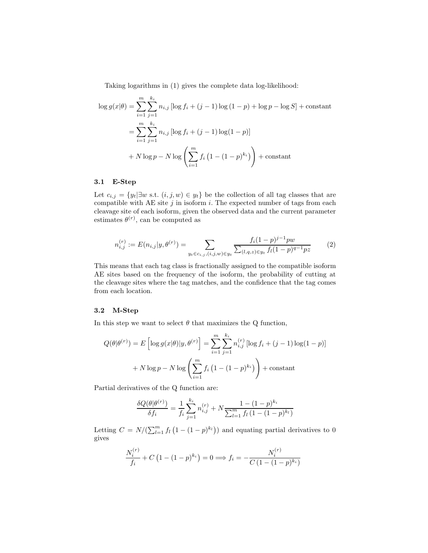Taking logarithms in (1) gives the complete data log-likelihood:

$$
\log g(x|\theta) = \sum_{i=1}^{m} \sum_{j=1}^{k_i} n_{i,j} \left[ \log f_i + (j-1) \log (1-p) + \log p - \log S \right] + \text{constant}
$$

$$
= \sum_{i=1}^{m} \sum_{j=1}^{k_i} n_{i,j} \left[ \log f_i + (j-1) \log (1-p) \right]
$$

$$
+ N \log p - N \log \left( \sum_{i=1}^{m} f_i \left( 1 - (1-p)^{k_i} \right) \right) + \text{constant}
$$

#### 3.1 E-Step

Let  $c_{i,j} = \{y_t | \exists w \text{ s.t. } (i, j, w) \in y_t\}$  be the collection of all tag classes that are compatible with AE site  $j$  in isoform  $i$ . The expected number of tags from each cleavage site of each isoform, given the observed data and the current parameter estimates  $\theta^{(r)}$ , can be computed as

$$
n_{i,j}^{(r)} := E(n_{i,j}|y, \theta^{(r)}) = \sum_{y_t \in c_{i,j}, (i,j,w) \in y_t} \frac{f_i(1-p)^{j-1}pw}{\sum_{(l,q,z) \in y_t} f_l(1-p)^{q-1}pz}
$$
(2)

This means that each tag class is fractionally assigned to the compatible isoform AE sites based on the frequency of the isoform, the probability of cutting at the cleavage sites where the tag matches, and the confidence that the tag comes from each location.

# 3.2 M-Step

In this step we want to select  $\theta$  that maximizes the Q function,

$$
Q(\theta|\theta^{(r)}) = E\left[\log g(x|\theta)|y, \theta^{(r)}\right] = \sum_{i=1}^{m} \sum_{j=1}^{k_i} n_{i,j}^{(r)} \left[\log f_i + (j-1)\log(1-p)\right] + N \log p - N \log \left(\sum_{i=1}^{m} f_i \left(1 - (1-p)^{k_i}\right)\right) + \text{constant}
$$

Partial derivatives of the Q function are:

$$
\frac{\delta Q(\theta|\theta^{(r)})}{\delta f_i} = \frac{1}{f_i} \sum_{j=1}^{k_i} n_{i,j}^{(r)} + N \frac{1 - (1 - p)^{k_i}}{\sum_{l=1}^{m} f_l (1 - (1 - p)^{k_l})}
$$

Letting  $C = N/(\sum_{l=1}^{m} f_l (1 - (1 - p)^{k_l}) )$  and equating partial derivatives to 0 gives

$$
\frac{N_i^{(r)}}{f_i} + C\left(1 - (1 - p)^{k_i}\right) = 0 \Longrightarrow f_i = -\frac{N_i^{(r)}}{C\left(1 - (1 - p)^{k_i}\right)}
$$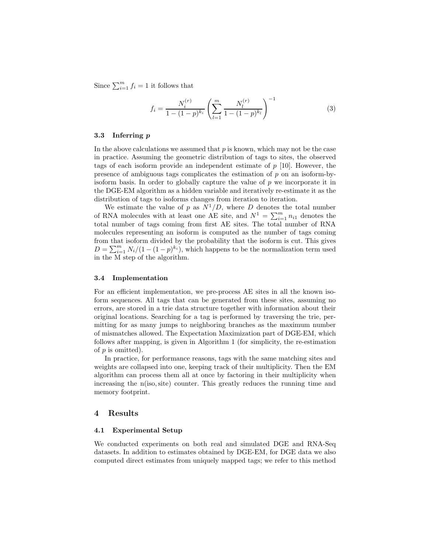Since  $\sum_{i=1}^{m} f_i = 1$  it follows that

$$
f_i = \frac{N_i^{(r)}}{1 - (1 - p)^{k_i}} \left( \sum_{l=1}^m \frac{N_l^{(r)}}{1 - (1 - p)^{k_l}} \right)^{-1} \tag{3}
$$

#### 3.3 Inferring p

In the above calculations we assumed that  $p$  is known, which may not be the case in practice. Assuming the geometric distribution of tags to sites, the observed tags of each isoform provide an independent estimate of  $p \, [10]$ . However, the presence of ambiguous tags complicates the estimation of p on an isoform-byisoform basis. In order to globally capture the value of  $p$  we incorporate it in the DGE-EM algorithm as a hidden variable and iteratively re-estimate it as the distribution of tags to isoforms changes from iteration to iteration.

We estimate the value of p as  $N^1/D$ , where D denotes the total number of RNA molecules with at least one AE site, and  $N^1 = \sum_{i=1}^m n_{i1}$  denotes the total number of tags coming from first AE sites. The total number of RNA molecules representing an isoform is computed as the number of tags coming from that isoform divided by the probability that the isoform is cut. This gives  $D = \sum_{i=1}^{m} N_i/(1-(1-p)^{k_i})$ , which happens to be the normalization term used in the M step of the algorithm.

#### 3.4 Implementation

For an efficient implementation, we pre-process AE sites in all the known isoform sequences. All tags that can be generated from these sites, assuming no errors, are stored in a trie data structure together with information about their original locations. Searching for a tag is performed by traversing the trie, permitting for as many jumps to neighboring branches as the maximum number of mismatches allowed. The Expectation Maximization part of DGE-EM, which follows after mapping, is given in Algorithm 1 (for simplicity, the re-estimation of  $p$  is omitted).

In practice, for performance reasons, tags with the same matching sites and weights are collapsed into one, keeping track of their multiplicity. Then the EM algorithm can process them all at once by factoring in their multiplicity when increasing the n(iso,site) counter. This greatly reduces the running time and memory footprint.

### 4 Results

#### 4.1 Experimental Setup

We conducted experiments on both real and simulated DGE and RNA-Seq datasets. In addition to estimates obtained by DGE-EM, for DGE data we also computed direct estimates from uniquely mapped tags; we refer to this method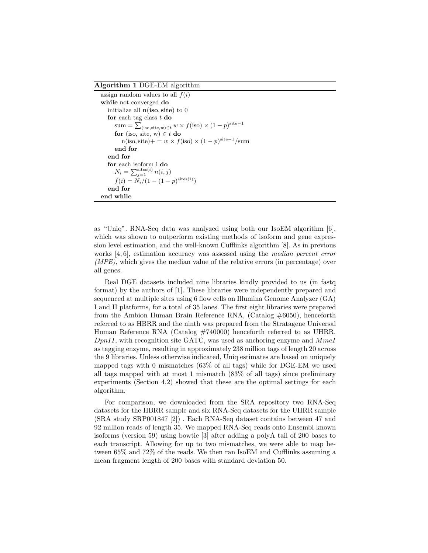#### Algorithm 1 DGE-EM algorithm

```
assign random values to all f(i)while not converged do
   initialize all n(iso, site) to 0
   for each tag class t do
       sum = \sum_{(\text{iso}, \text{site}, w) \in t} w \times f(\text{iso}) \times (1 - p)^{\text{site}-1}for (iso, site, w) \in t do
           n(\text{iso}, \text{site}) += w \times f(\text{iso}) \times (1 - p)^{\text{site}-1}/\text{sum}end for
   end for
   for each isoform i do
       N_i = \sum_{j=1}^{\text{sites}(i)} n(i,j)f(i) = N_i/(1-(1-p)^{\text{sites}(i)})end for
end while
```
as "Uniq". RNA-Seq data was analyzed using both our IsoEM algorithm [6], which was shown to outperform existing methods of isoform and gene expression level estimation, and the well-known Cufflinks algorithm [8]. As in previous works [4, 6], estimation accuracy was assessed using the median percent error (MPE), which gives the median value of the relative errors (in percentage) over all genes.

Real DGE datasets included nine libraries kindly provided to us (in fastq format) by the authors of [1]. These libraries were independently prepared and sequenced at multiple sites using 6 flow cells on Illumina Genome Analyzer (GA) I and II platforms, for a total of 35 lanes. The first eight libraries were prepared from the Ambion Human Brain Reference RNA, (Catalog #6050), henceforth referred to as HBRR and the ninth was prepared from the Stratagene Universal Human Reference RNA (Catalog #740000) henceforth referred to as UHRR.  $DpnII$ , with recognition site GATC, was used as anchoring enzyme and  $MmeI$ as tagging enzyme, resulting in approximately 238 million tags of length 20 across the 9 libraries. Unless otherwise indicated, Uniq estimates are based on uniquely mapped tags with 0 mismatches (63% of all tags) while for DGE-EM we used all tags mapped with at most 1 mismatch (83% of all tags) since preliminary experiments (Section 4.2) showed that these are the optimal settings for each algorithm.

For comparison, we downloaded from the SRA repository two RNA-Seq datasets for the HBRR sample and six RNA-Seq datasets for the UHRR sample (SRA study SRP001847 [2]) . Each RNA-Seq dataset contains between 47 and 92 million reads of length 35. We mapped RNA-Seq reads onto Ensembl known isoforms (version 59) using bowtie [3] after adding a polyA tail of 200 bases to each transcript. Allowing for up to two mismatches, we were able to map between 65% and 72% of the reads. We then ran IsoEM and Cufflinks assuming a mean fragment length of 200 bases with standard deviation 50.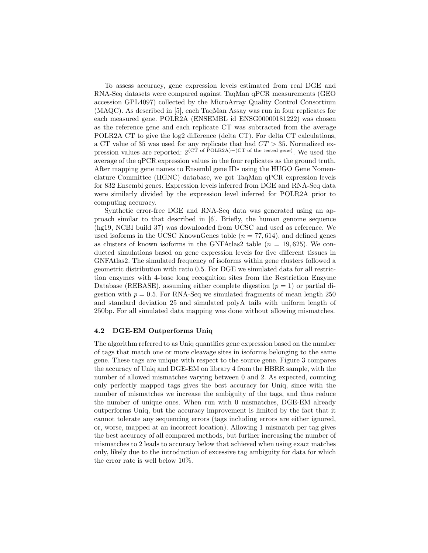To assess accuracy, gene expression levels estimated from real DGE and RNA-Seq datasets were compared against TaqMan qPCR measurements (GEO accession GPL4097) collected by the MicroArray Quality Control Consortium (MAQC). As described in [5], each TaqMan Assay was run in four replicates for each measured gene. POLR2A (ENSEMBL id ENSG00000181222) was chosen as the reference gene and each replicate CT was subtracted from the average POLR2A CT to give the log2 difference (delta CT). For delta CT calculations, a CT value of 35 was used for any replicate that had  $CT > 35$ . Normalized expression values are reported:  $2^{\text{(CT of POLR2A)} - \text{(CT of the tested gene)}}$ . We used the average of the qPCR expression values in the four replicates as the ground truth. After mapping gene names to Ensembl gene IDs using the HUGO Gene Nomenclature Committee (HGNC) database, we got TaqMan qPCR expression levels for 832 Ensembl genes. Expression levels inferred from DGE and RNA-Seq data were similarly divided by the expression level inferred for POLR2A prior to computing accuracy.

Synthetic error-free DGE and RNA-Seq data was generated using an approach similar to that described in [6]. Briefly, the human genome sequence (hg19, NCBI build 37) was downloaded from UCSC and used as reference. We used isoforms in the UCSC KnownGenes table  $(n = 77, 614)$ , and defined genes as clusters of known isoforms in the GNFAtlas2 table ( $n = 19,625$ ). We conducted simulations based on gene expression levels for five different tissues in GNFAtlas2. The simulated frequency of isoforms within gene clusters followed a geometric distribution with ratio 0.5. For DGE we simulated data for all restriction enzymes with 4-base long recognition sites from the Restriction Enzyme Database (REBASE), assuming either complete digestion  $(p = 1)$  or partial digestion with  $p = 0.5$ . For RNA-Seq we simulated fragments of mean length 250 and standard deviation 25 and simulated polyA tails with uniform length of 250bp. For all simulated data mapping was done without allowing mismatches.

### 4.2 DGE-EM Outperforms Uniq

The algorithm referred to as Uniq quantifies gene expression based on the number of tags that match one or more cleavage sites in isoforms belonging to the same gene. These tags are unique with respect to the source gene. Figure 3 compares the accuracy of Uniq and DGE-EM on library 4 from the HBRR sample, with the number of allowed mismatches varying between 0 and 2. As expected, counting only perfectly mapped tags gives the best accuracy for Uniq, since with the number of mismatches we increase the ambiguity of the tags, and thus reduce the number of unique ones. When run with 0 mismatches, DGE-EM already outperforms Uniq, but the accuracy improvement is limited by the fact that it cannot tolerate any sequencing errors (tags including errors are either ignored, or, worse, mapped at an incorrect location). Allowing 1 mismatch per tag gives the best accuracy of all compared methods, but further increasing the number of mismatches to 2 leads to accuracy below that achieved when using exact matches only, likely due to the introduction of excessive tag ambiguity for data for which the error rate is well below 10%.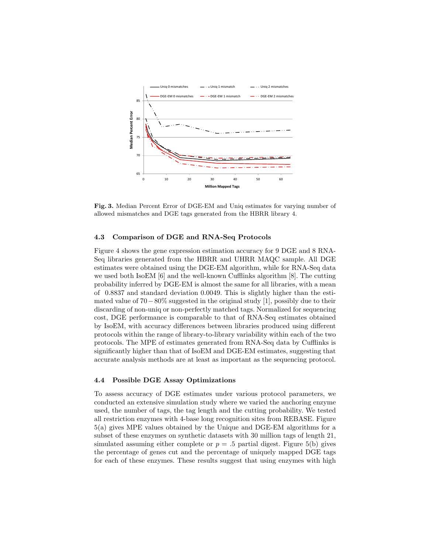

Fig. 3. Median Percent Error of DGE-EM and Uniq estimates for varying number of allowed mismatches and DGE tags generated from the HBRR library 4.

### 4.3 Comparison of DGE and RNA-Seq Protocols

Figure 4 shows the gene expression estimation accuracy for 9 DGE and 8 RNA-Seq libraries generated from the HBRR and UHRR MAQC sample. All DGE estimates were obtained using the DGE-EM algorithm, while for RNA-Seq data we used both IsoEM [6] and the well-known Cufflinks algorithm [8]. The cutting probability inferred by DGE-EM is almost the same for all libraries, with a mean of 0.8837 and standard deviation 0.0049. This is slightly higher than the estimated value of  $70-80\%$  suggested in the original study [1], possibly due to their discarding of non-uniq or non-perfectly matched tags. Normalized for sequencing cost, DGE performance is comparable to that of RNA-Seq estimates obtained by IsoEM, with accuracy differences between libraries produced using different protocols within the range of library-to-library variability within each of the two protocols. The MPE of estimates generated from RNA-Seq data by Cufflinks is significantly higher than that of IsoEM and DGE-EM estimates, suggesting that accurate analysis methods are at least as important as the sequencing protocol.

### 4.4 Possible DGE Assay Optimizations

To assess accuracy of DGE estimates under various protocol parameters, we conducted an extensive simulation study where we varied the anchoring enzyme used, the number of tags, the tag length and the cutting probability. We tested all restriction enzymes with 4-base long recognition sites from REBASE. Figure 5(a) gives MPE values obtained by the Unique and DGE-EM algorithms for a subset of these enzymes on synthetic datasets with 30 million tags of length 21, simulated assuming either complete or  $p = 0.5$  partial digest. Figure 5(b) gives the percentage of genes cut and the percentage of uniquely mapped DGE tags for each of these enzymes. These results suggest that using enzymes with high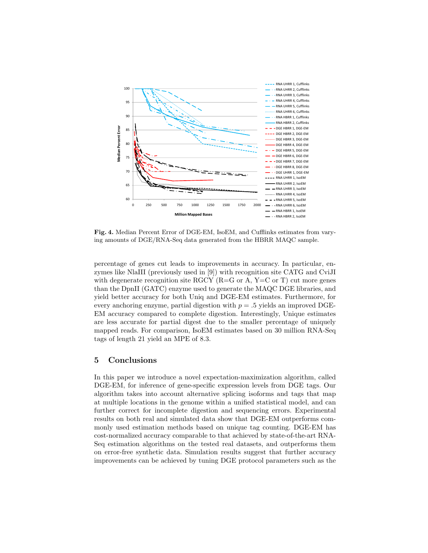

Fig. 4. Median Percent Error of DGE-EM, IsoEM, and Cufflinks estimates from varying amounts of DGE/RNA-Seq data generated from the HBRR MAQC sample.

percentage of genes cut leads to improvements in accuracy. In particular, enzymes like NlaIII (previously used in [9]) with recognition site CATG and CviJI with degenerate recognition site RGCY (R=G or A, Y=C or T) cut more genes than the DpnII (GATC) enzyme used to generate the MAQC DGE libraries, and yield better accuracy for both Uniq and DGE-EM estimates. Furthermore, for every anchoring enzyme, partial digestion with  $p = .5$  yields an improved DGE-EM accuracy compared to complete digestion. Interestingly, Unique estimates are less accurate for partial digest due to the smaller percentage of uniquely mapped reads. For comparison, IsoEM estimates based on 30 million RNA-Seq tags of length 21 yield an MPE of 8.3.

### 5 Conclusions

In this paper we introduce a novel expectation-maximization algorithm, called DGE-EM, for inference of gene-specific expression levels from DGE tags. Our algorithm takes into account alternative splicing isoforms and tags that map at multiple locations in the genome within a unified statistical model, and can further correct for incomplete digestion and sequencing errors. Experimental results on both real and simulated data show that DGE-EM outperforms commonly used estimation methods based on unique tag counting. DGE-EM has cost-normalized accuracy comparable to that achieved by state-of-the-art RNA-Seq estimation algorithms on the tested real datasets, and outperforms them on error-free synthetic data. Simulation results suggest that further accuracy improvements can be achieved by tuning DGE protocol parameters such as the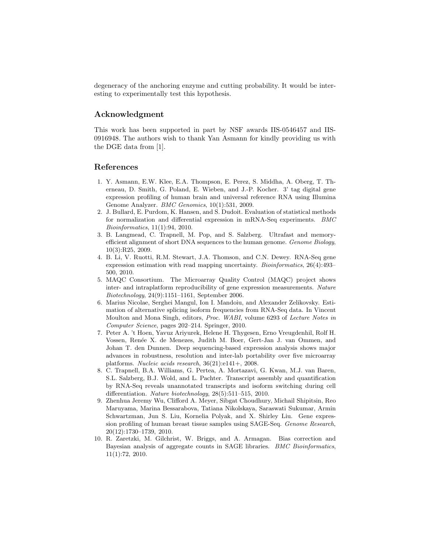degeneracy of the anchoring enzyme and cutting probability. It would be interesting to experimentally test this hypothesis.

## Acknowledgment

This work has been supported in part by NSF awards IIS-0546457 and IIS-0916948. The authors wish to thank Yan Asmann for kindly providing us with the DGE data from [1].

## References

- 1. Y. Asmann, E.W. Klee, E.A. Thompson, E. Perez, S. Middha, A. Oberg, T. Therneau, D. Smith, G. Poland, E. Wieben, and J.-P. Kocher. 3' tag digital gene expression profiling of human brain and universal reference RNA using Illumina Genome Analyzer. BMC Genomics, 10(1):531, 2009.
- 2. J. Bullard, E. Purdom, K. Hansen, and S. Dudoit. Evaluation of statistical methods for normalization and differential expression in mRNA-Seq experiments. BMC Bioinformatics, 11(1):94, 2010.
- 3. B. Langmead, C. Trapnell, M. Pop, and S. Salzberg. Ultrafast and memoryefficient alignment of short DNA sequences to the human genome. Genome Biology, 10(3):R25, 2009.
- 4. B. Li, V. Ruotti, R.M. Stewart, J.A. Thomson, and C.N. Dewey. RNA-Seq gene expression estimation with read mapping uncertainty. Bioinformatics, 26(4):493– 500, 2010.
- 5. MAQC Consortium. The Microarray Quality Control (MAQC) project shows inter- and intraplatform reproducibility of gene expression measurements. Nature Biotechnology, 24(9):1151–1161, September 2006.
- 6. Marius Nicolae, Serghei Mangul, Ion I. Mandoiu, and Alexander Zelikovsky. Estimation of alternative splicing isoform frequencies from RNA-Seq data. In Vincent Moulton and Mona Singh, editors, Proc. WABI, volume 6293 of Lecture Notes in Computer Science, pages 202–214. Springer, 2010.
- 7. Peter A. 't Hoen, Yavuz Ariyurek, Helene H. Thygesen, Erno Vreugdenhil, Rolf H. Vossen, Ren´ee X. de Menezes, Judith M. Boer, Gert-Jan J. van Ommen, and Johan T. den Dunnen. Deep sequencing-based expression analysis shows major advances in robustness, resolution and inter-lab portability over five microarray platforms. Nucleic acids research, 36(21):e141+, 2008.
- 8. C. Trapnell, B.A. Williams, G. Pertea, A. Mortazavi, G. Kwan, M.J. van Baren, S.L. Salzberg, B.J. Wold, and L. Pachter. Transcript assembly and quantification by RNA-Seq reveals unannotated transcripts and isoform switching during cell differentiation. Nature biotechnology, 28(5):511-515, 2010.
- 9. Zhenhua Jeremy Wu, Clifford A. Meyer, Sibgat Choudhury, Michail Shipitsin, Reo Maruyama, Marina Bessarabova, Tatiana Nikolskaya, Saraswati Sukumar, Armin Schwartzman, Jun S. Liu, Kornelia Polyak, and X. Shirley Liu. Gene expression profiling of human breast tissue samples using SAGE-Seq. Genome Research, 20(12):1730–1739, 2010.
- 10. R. Zaretzki, M. Gilchrist, W. Briggs, and A. Armagan. Bias correction and Bayesian analysis of aggregate counts in SAGE libraries. BMC Bioinformatics, 11(1):72, 2010.